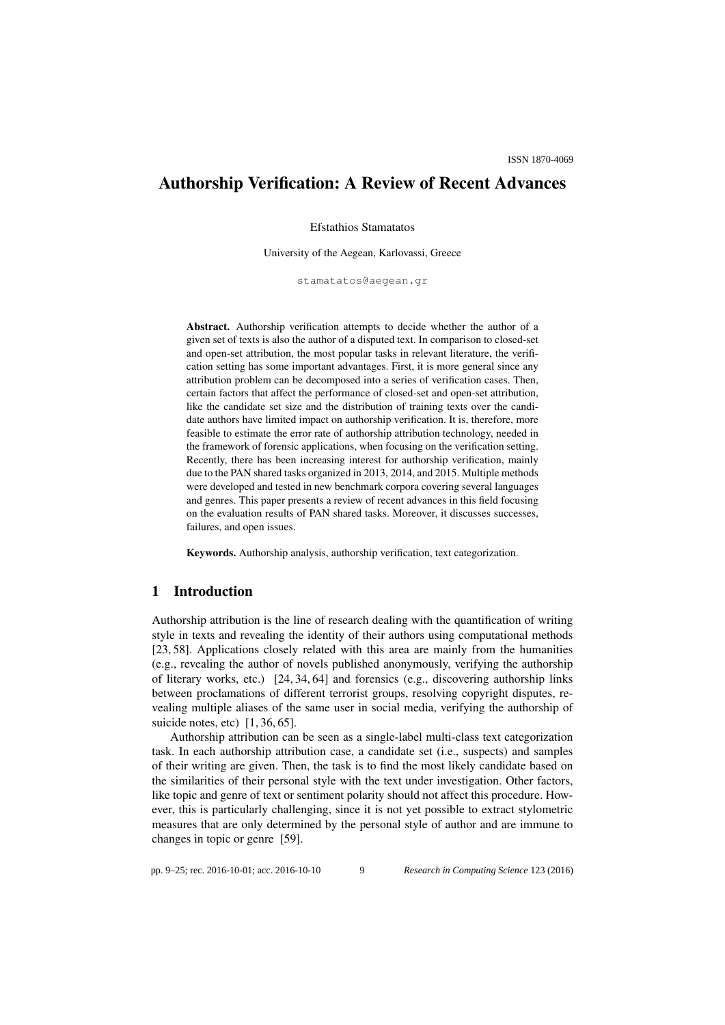# Authorship Verification: A Review of Recent Advances

Efstathios Stamatatos

University of the Aegean, Karlovassi, Greece

stamatatos@aegean.gr

Abstract. Authorship verification attempts to decide whether the author of a given set of texts is also the author of a disputed text. In comparison to closed-set and open-set attribution, the most popular tasks in relevant literature, the verification setting has some important advantages. First, it is more general since any attribution problem can be decomposed into a series of verification cases. Then, certain factors that affect the performance of closed-set and open-set attribution, like the candidate set size and the distribution of training texts over the candidate authors have limited impact on authorship verification. It is, therefore, more feasible to estimate the error rate of authorship attribution technology, needed in the framework of forensic applications, when focusing on the verification setting. Recently, there has been increasing interest for authorship verification, mainly due to the PAN shared tasks organized in 2013, 2014, and 2015. Multiple methods were developed and tested in new benchmark corpora covering several languages and genres. This paper presents a review of recent advances in this field focusing on the evaluation results of PAN shared tasks. Moreover, it discusses successes, failures, and open issues.

Keywords. Authorship analysis, authorship verification, text categorization.

### 1 Introduction

Authorship attribution is the line of research dealing with the quantification of writing style in texts and revealing the identity of their authors using computational methods [23, 58]. Applications closely related with this area are mainly from the humanities (e.g., revealing the author of novels published anonymously, verifying the authorship of literary works, etc.) [24, 34, 64] and forensics (e.g., discovering authorship links between proclamations of different terrorist groups, resolving copyright disputes, revealing multiple aliases of the same user in social media, verifying the authorship of suicide notes, etc)  $[1, 36, 65]$ .

Authorship attribution can be seen as a single-label multi-class text categorization task. In each authorship attribution case, a candidate set (i.e., suspects) and samples of their writing are given. Then, the task is to find the most likely candidate based on the similarities of their personal style with the text under investigation. Other factors, like topic and genre of text or sentiment polarity should not affect this procedure. However, this is particularly challenging, since it is not yet possible to extract stylometric measures that are only determined by the personal style of author and are immune to changes in topic or genre [59].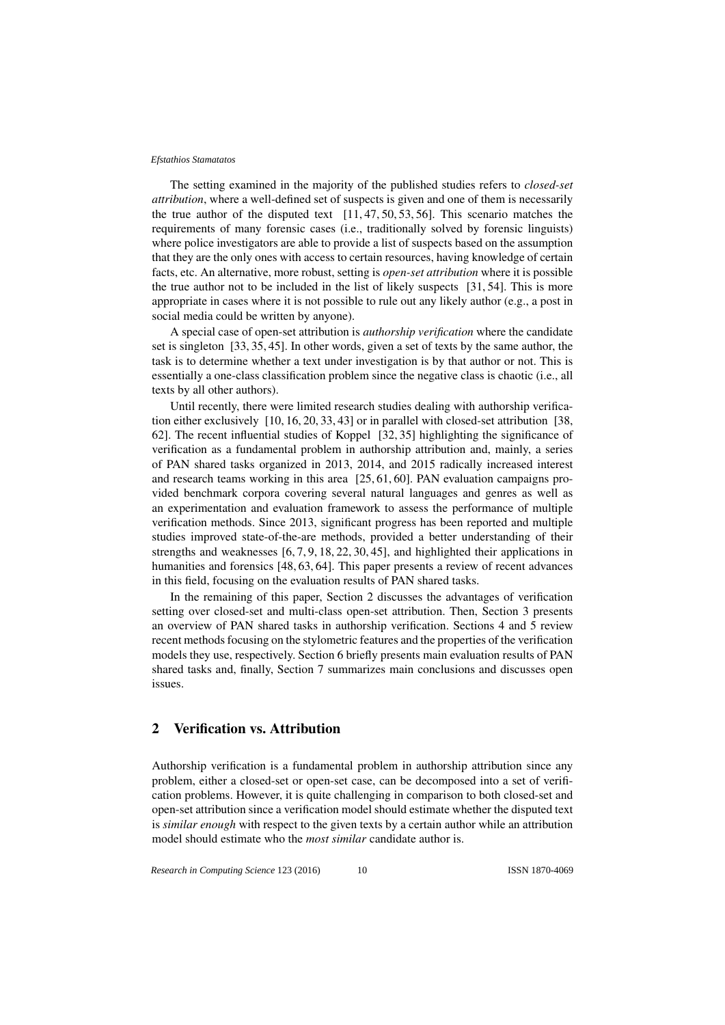The setting examined in the majority of the published studies refers to *closed-set attribution*, where a well-defined set of suspects is given and one of them is necessarily the true author of the disputed text [11, 47, 50, 53, 56]. This scenario matches the requirements of many forensic cases (i.e., traditionally solved by forensic linguists) where police investigators are able to provide a list of suspects based on the assumption that they are the only ones with access to certain resources, having knowledge of certain facts, etc. An alternative, more robust, setting is *open-set attribution* where it is possible the true author not to be included in the list of likely suspects [31, 54]. This is more appropriate in cases where it is not possible to rule out any likely author (e.g., a post in social media could be written by anyone).

A special case of open-set attribution is *authorship verification* where the candidate set is singleton [33, 35, 45]. In other words, given a set of texts by the same author, the task is to determine whether a text under investigation is by that author or not. This is essentially a one-class classification problem since the negative class is chaotic (i.e., all texts by all other authors).

Until recently, there were limited research studies dealing with authorship verification either exclusively [10, 16, 20, 33, 43] or in parallel with closed-set attribution [38, 62]. The recent influential studies of Koppel [32, 35] highlighting the significance of verification as a fundamental problem in authorship attribution and, mainly, a series of PAN shared tasks organized in 2013, 2014, and 2015 radically increased interest and research teams working in this area [25, 61, 60]. PAN evaluation campaigns provided benchmark corpora covering several natural languages and genres as well as an experimentation and evaluation framework to assess the performance of multiple verification methods. Since 2013, significant progress has been reported and multiple studies improved state-of-the-are methods, provided a better understanding of their strengths and weaknesses [6, 7, 9, 18, 22, 30, 45], and highlighted their applications in humanities and forensics [48, 63, 64]. This paper presents a review of recent advances in this field, focusing on the evaluation results of PAN shared tasks.

In the remaining of this paper, Section 2 discusses the advantages of verification setting over closed-set and multi-class open-set attribution. Then, Section 3 presents an overview of PAN shared tasks in authorship verification. Sections 4 and 5 review recent methods focusing on the stylometric features and the properties of the verification models they use, respectively. Section 6 briefly presents main evaluation results of PAN shared tasks and, finally, Section 7 summarizes main conclusions and discusses open issues.

# 2 Verification vs. Attribution

Authorship verification is a fundamental problem in authorship attribution since any problem, either a closed-set or open-set case, can be decomposed into a set of verification problems. However, it is quite challenging in comparison to both closed-set and open-set attribution since a verification model should estimate whether the disputed text is *similar enough* with respect to the given texts by a certain author while an attribution model should estimate who the *most similar* candidate author is.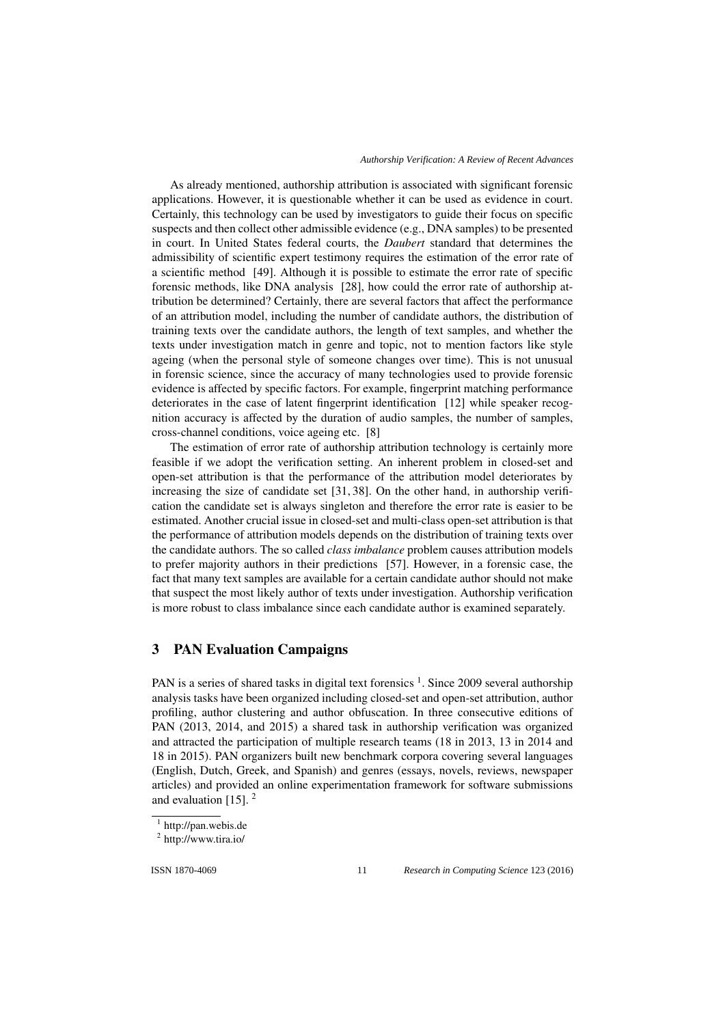*Authorship Verification: A Review of Recent Advances*

As already mentioned, authorship attribution is associated with significant forensic applications. However, it is questionable whether it can be used as evidence in court. Certainly, this technology can be used by investigators to guide their focus on specific suspects and then collect other admissible evidence (e.g., DNA samples) to be presented in court. In United States federal courts, the *Daubert* standard that determines the admissibility of scientific expert testimony requires the estimation of the error rate of a scientific method [49]. Although it is possible to estimate the error rate of specific forensic methods, like DNA analysis [28], how could the error rate of authorship attribution be determined? Certainly, there are several factors that affect the performance of an attribution model, including the number of candidate authors, the distribution of training texts over the candidate authors, the length of text samples, and whether the texts under investigation match in genre and topic, not to mention factors like style ageing (when the personal style of someone changes over time). This is not unusual in forensic science, since the accuracy of many technologies used to provide forensic evidence is affected by specific factors. For example, fingerprint matching performance deteriorates in the case of latent fingerprint identification [12] while speaker recognition accuracy is affected by the duration of audio samples, the number of samples, cross-channel conditions, voice ageing etc. [8]

The estimation of error rate of authorship attribution technology is certainly more feasible if we adopt the verification setting. An inherent problem in closed-set and open-set attribution is that the performance of the attribution model deteriorates by increasing the size of candidate set [31, 38]. On the other hand, in authorship verification the candidate set is always singleton and therefore the error rate is easier to be estimated. Another crucial issue in closed-set and multi-class open-set attribution is that the performance of attribution models depends on the distribution of training texts over the candidate authors. The so called *class imbalance* problem causes attribution models to prefer majority authors in their predictions [57]. However, in a forensic case, the fact that many text samples are available for a certain candidate author should not make that suspect the most likely author of texts under investigation. Authorship verification is more robust to class imbalance since each candidate author is examined separately.

### 3 PAN Evaluation Campaigns

PAN is a series of shared tasks in digital text forensics <sup>1</sup>. Since 2009 several authorship analysis tasks have been organized including closed-set and open-set attribution, author profiling, author clustering and author obfuscation. In three consecutive editions of PAN (2013, 2014, and 2015) a shared task in authorship verification was organized and attracted the participation of multiple research teams (18 in 2013, 13 in 2014 and 18 in 2015). PAN organizers built new benchmark corpora covering several languages (English, Dutch, Greek, and Spanish) and genres (essays, novels, reviews, newspaper articles) and provided an online experimentation framework for software submissions and evaluation  $[15]$ . <sup>2</sup>

ISSN 1870-4069 *Research in Computing Science* 123 (2016)

<sup>1</sup> http://pan.webis.de

<sup>2</sup> http://www.tira.io/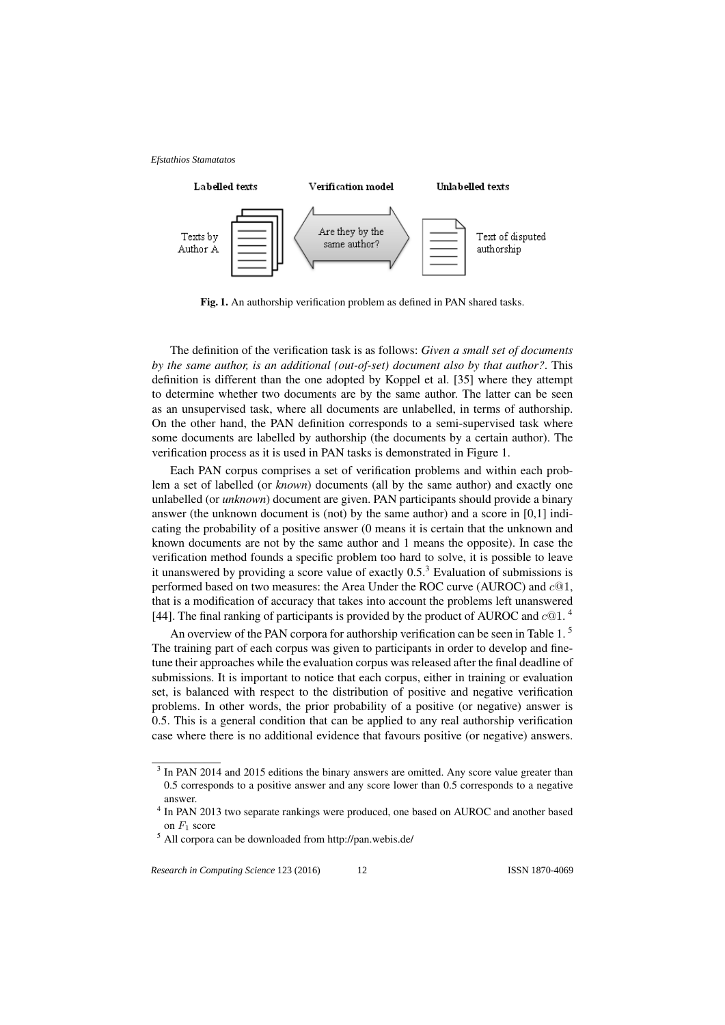

Fig. 1. An authorship verification problem as defined in PAN shared tasks.

The definition of the verification task is as follows: *Given a small set of documents by the same author, is an additional (out-of-set) document also by that author?*. This definition is different than the one adopted by Koppel et al. [35] where they attempt to determine whether two documents are by the same author. The latter can be seen as an unsupervised task, where all documents are unlabelled, in terms of authorship. On the other hand, the PAN definition corresponds to a semi-supervised task where some documents are labelled by authorship (the documents by a certain author). The verification process as it is used in PAN tasks is demonstrated in Figure 1.

Each PAN corpus comprises a set of verification problems and within each problem a set of labelled (or *known*) documents (all by the same author) and exactly one unlabelled (or *unknown*) document are given. PAN participants should provide a binary answer (the unknown document is (not) by the same author) and a score in [0,1] indicating the probability of a positive answer (0 means it is certain that the unknown and known documents are not by the same author and 1 means the opposite). In case the verification method founds a specific problem too hard to solve, it is possible to leave it unanswered by providing a score value of exactly  $0.5<sup>3</sup>$  Evaluation of submissions is performed based on two measures: the Area Under the ROC curve (AUROC) and  $c@1$ , that is a modification of accuracy that takes into account the problems left unanswered [44]. The final ranking of participants is provided by the product of AUROC and  $c@1$ .<sup>4</sup>

An overview of the PAN corpora for authorship verification can be seen in Table 1. <sup>5</sup> The training part of each corpus was given to participants in order to develop and finetune their approaches while the evaluation corpus was released after the final deadline of submissions. It is important to notice that each corpus, either in training or evaluation set, is balanced with respect to the distribution of positive and negative verification problems. In other words, the prior probability of a positive (or negative) answer is 0.5. This is a general condition that can be applied to any real authorship verification case where there is no additional evidence that favours positive (or negative) answers.

<sup>&</sup>lt;sup>3</sup> In PAN 2014 and 2015 editions the binary answers are omitted. Any score value greater than 0.5 corresponds to a positive answer and any score lower than 0.5 corresponds to a negative answer.

<sup>&</sup>lt;sup>4</sup> In PAN 2013 two separate rankings were produced, one based on AUROC and another based on  $F_1$  score

<sup>5</sup> All corpora can be downloaded from http://pan.webis.de/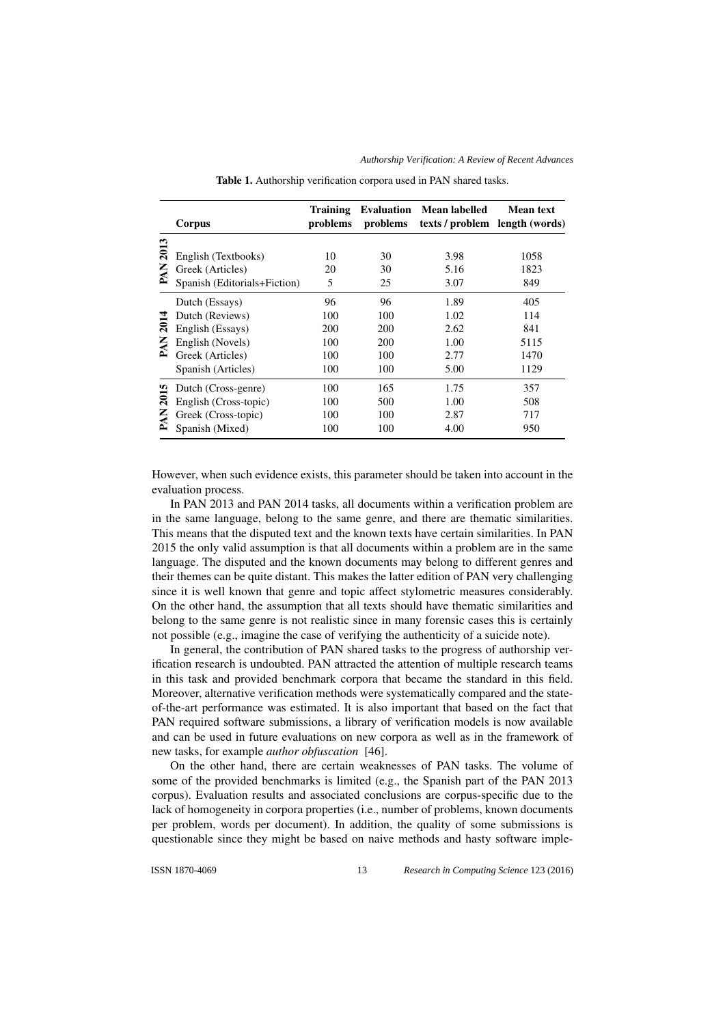|      | Corpus                       | <b>Training</b><br>problems | <b>Evaluation</b><br>problems | Mean labelled<br>texts / problem length (words) | <b>Mean text</b> |
|------|------------------------------|-----------------------------|-------------------------------|-------------------------------------------------|------------------|
|      |                              |                             |                               |                                                 |                  |
| 2013 | English (Textbooks)          | 10                          | 30                            | 3.98                                            | 1058             |
| PAN  | Greek (Articles)             | 20                          | 30                            | 5.16                                            | 1823             |
|      | Spanish (Editorials+Fiction) | 5                           | 25                            | 3.07                                            | 849              |
|      | Dutch (Essays)               | 96                          | 96                            | 1.89                                            | 405              |
|      | Dutch (Reviews)              | 100                         | 100                           | 1.02                                            | 114              |
| 2014 | English (Essays)             | 200                         | 200                           | 2.62                                            | 841              |
| PAN  | English (Novels)             | 100                         | 200                           | 1.00                                            | 5115             |
|      | Greek (Articles)             | 100                         | 100                           | 2.77                                            | 1470             |
|      | Spanish (Articles)           | 100                         | 100                           | 5.00                                            | 1129             |
| 2015 | Dutch (Cross-genre)          | 100                         | 165                           | 1.75                                            | 357              |
|      | English (Cross-topic)        | 100                         | 500                           | 1.00                                            | 508              |
| PAN  | Greek (Cross-topic)          | 100                         | 100                           | 2.87                                            | 717              |
|      | Spanish (Mixed)              | 100                         | 100                           | 4.00                                            | 950              |

Table 1. Authorship verification corpora used in PAN shared tasks.

However, when such evidence exists, this parameter should be taken into account in the evaluation process.

In PAN 2013 and PAN 2014 tasks, all documents within a verification problem are in the same language, belong to the same genre, and there are thematic similarities. This means that the disputed text and the known texts have certain similarities. In PAN 2015 the only valid assumption is that all documents within a problem are in the same language. The disputed and the known documents may belong to different genres and their themes can be quite distant. This makes the latter edition of PAN very challenging since it is well known that genre and topic affect stylometric measures considerably. On the other hand, the assumption that all texts should have thematic similarities and belong to the same genre is not realistic since in many forensic cases this is certainly not possible (e.g., imagine the case of verifying the authenticity of a suicide note).

In general, the contribution of PAN shared tasks to the progress of authorship verification research is undoubted. PAN attracted the attention of multiple research teams in this task and provided benchmark corpora that became the standard in this field. Moreover, alternative verification methods were systematically compared and the stateof-the-art performance was estimated. It is also important that based on the fact that PAN required software submissions, a library of verification models is now available and can be used in future evaluations on new corpora as well as in the framework of new tasks, for example *author obfuscation* [46].

On the other hand, there are certain weaknesses of PAN tasks. The volume of some of the provided benchmarks is limited (e.g., the Spanish part of the PAN 2013 corpus). Evaluation results and associated conclusions are corpus-specific due to the lack of homogeneity in corpora properties (i.e., number of problems, known documents per problem, words per document). In addition, the quality of some submissions is questionable since they might be based on naive methods and hasty software imple-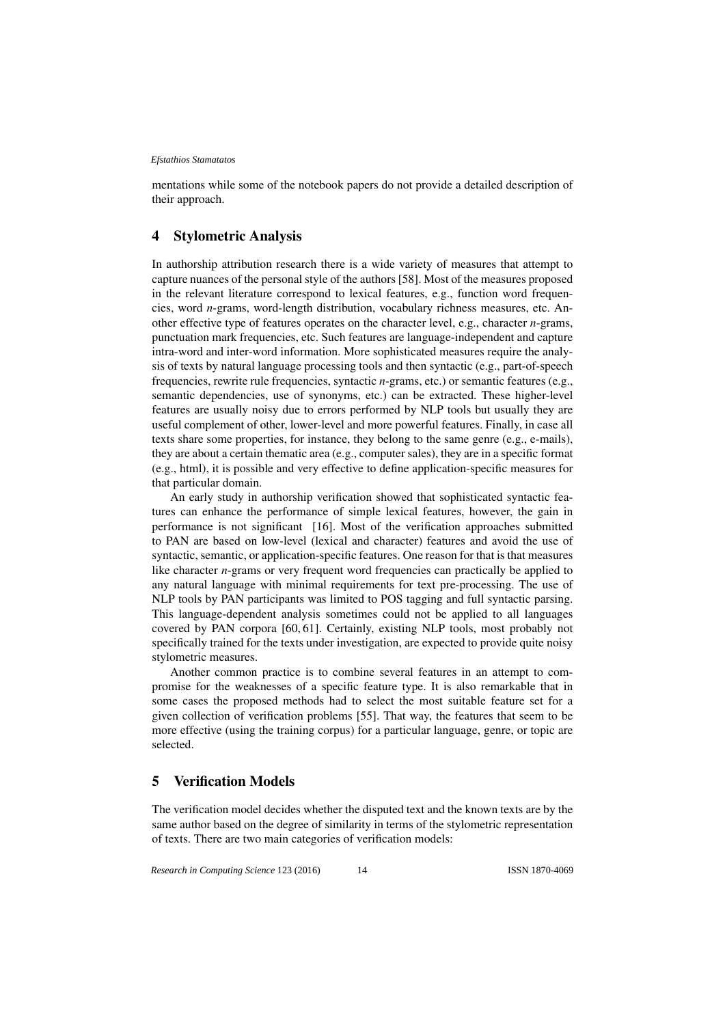mentations while some of the notebook papers do not provide a detailed description of their approach.

### 4 Stylometric Analysis

In authorship attribution research there is a wide variety of measures that attempt to capture nuances of the personal style of the authors [58]. Most of the measures proposed in the relevant literature correspond to lexical features, e.g., function word frequencies, word *n*-grams, word-length distribution, vocabulary richness measures, etc. Another effective type of features operates on the character level, e.g., character *n*-grams, punctuation mark frequencies, etc. Such features are language-independent and capture intra-word and inter-word information. More sophisticated measures require the analysis of texts by natural language processing tools and then syntactic (e.g., part-of-speech frequencies, rewrite rule frequencies, syntactic *n*-grams, etc.) or semantic features (e.g., semantic dependencies, use of synonyms, etc.) can be extracted. These higher-level features are usually noisy due to errors performed by NLP tools but usually they are useful complement of other, lower-level and more powerful features. Finally, in case all texts share some properties, for instance, they belong to the same genre (e.g., e-mails), they are about a certain thematic area (e.g., computer sales), they are in a specific format (e.g., html), it is possible and very effective to define application-specific measures for that particular domain.

An early study in authorship verification showed that sophisticated syntactic features can enhance the performance of simple lexical features, however, the gain in performance is not significant [16]. Most of the verification approaches submitted to PAN are based on low-level (lexical and character) features and avoid the use of syntactic, semantic, or application-specific features. One reason for that is that measures like character *n*-grams or very frequent word frequencies can practically be applied to any natural language with minimal requirements for text pre-processing. The use of NLP tools by PAN participants was limited to POS tagging and full syntactic parsing. This language-dependent analysis sometimes could not be applied to all languages covered by PAN corpora [60, 61]. Certainly, existing NLP tools, most probably not specifically trained for the texts under investigation, are expected to provide quite noisy stylometric measures.

Another common practice is to combine several features in an attempt to compromise for the weaknesses of a specific feature type. It is also remarkable that in some cases the proposed methods had to select the most suitable feature set for a given collection of verification problems [55]. That way, the features that seem to be more effective (using the training corpus) for a particular language, genre, or topic are selected.

# 5 Verification Models

The verification model decides whether the disputed text and the known texts are by the same author based on the degree of similarity in terms of the stylometric representation of texts. There are two main categories of verification models: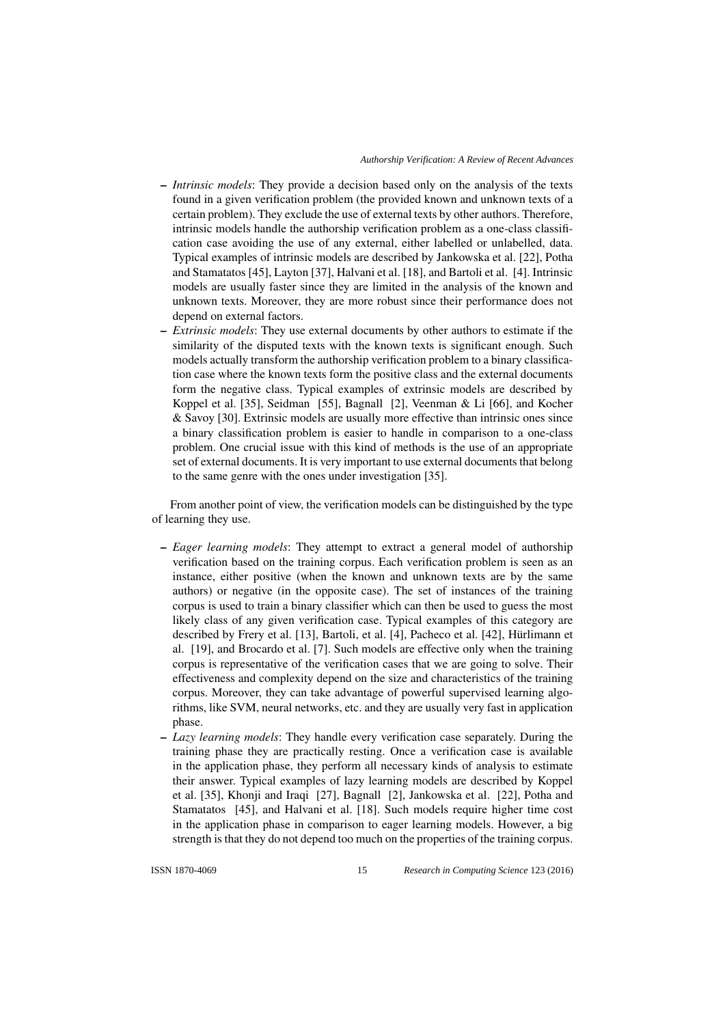- *Intrinsic models*: They provide a decision based only on the analysis of the texts found in a given verification problem (the provided known and unknown texts of a certain problem). They exclude the use of external texts by other authors. Therefore, intrinsic models handle the authorship verification problem as a one-class classification case avoiding the use of any external, either labelled or unlabelled, data. Typical examples of intrinsic models are described by Jankowska et al. [22], Potha and Stamatatos [45], Layton [37], Halvani et al. [18], and Bartoli et al. [4]. Intrinsic models are usually faster since they are limited in the analysis of the known and unknown texts. Moreover, they are more robust since their performance does not depend on external factors.
- *Extrinsic models*: They use external documents by other authors to estimate if the similarity of the disputed texts with the known texts is significant enough. Such models actually transform the authorship verification problem to a binary classification case where the known texts form the positive class and the external documents form the negative class. Typical examples of extrinsic models are described by Koppel et al. [35], Seidman [55], Bagnall [2], Veenman & Li [66], and Kocher & Savoy [30]. Extrinsic models are usually more effective than intrinsic ones since a binary classification problem is easier to handle in comparison to a one-class problem. One crucial issue with this kind of methods is the use of an appropriate set of external documents. It is very important to use external documents that belong to the same genre with the ones under investigation [35].

From another point of view, the verification models can be distinguished by the type of learning they use.

- *Eager learning models*: They attempt to extract a general model of authorship verification based on the training corpus. Each verification problem is seen as an instance, either positive (when the known and unknown texts are by the same authors) or negative (in the opposite case). The set of instances of the training corpus is used to train a binary classifier which can then be used to guess the most likely class of any given verification case. Typical examples of this category are described by Frery et al. [13], Bartoli, et al. [4], Pacheco et al. [42], Hürlimann et al. [19], and Brocardo et al. [7]. Such models are effective only when the training corpus is representative of the verification cases that we are going to solve. Their effectiveness and complexity depend on the size and characteristics of the training corpus. Moreover, they can take advantage of powerful supervised learning algorithms, like SVM, neural networks, etc. and they are usually very fast in application phase.
- *Lazy learning models*: They handle every verification case separately. During the training phase they are practically resting. Once a verification case is available in the application phase, they perform all necessary kinds of analysis to estimate their answer. Typical examples of lazy learning models are described by Koppel et al. [35], Khonji and Iraqi [27], Bagnall [2], Jankowska et al. [22], Potha and Stamatatos [45], and Halvani et al. [18]. Such models require higher time cost in the application phase in comparison to eager learning models. However, a big strength is that they do not depend too much on the properties of the training corpus.

ISSN 1870-4069 *Research in Computing Science* 123 (2016)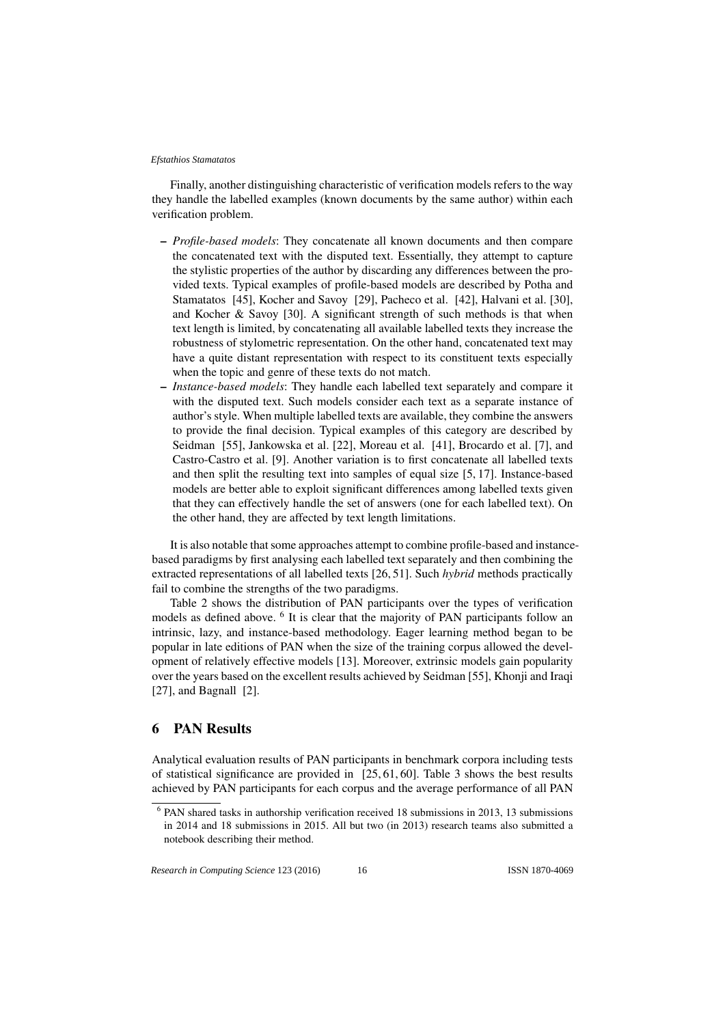Finally, another distinguishing characteristic of verification models refers to the way they handle the labelled examples (known documents by the same author) within each verification problem.

- *Profile-based models*: They concatenate all known documents and then compare the concatenated text with the disputed text. Essentially, they attempt to capture the stylistic properties of the author by discarding any differences between the provided texts. Typical examples of profile-based models are described by Potha and Stamatatos [45], Kocher and Savoy [29], Pacheco et al. [42], Halvani et al. [30], and Kocher & Savoy [30]. A significant strength of such methods is that when text length is limited, by concatenating all available labelled texts they increase the robustness of stylometric representation. On the other hand, concatenated text may have a quite distant representation with respect to its constituent texts especially when the topic and genre of these texts do not match.
- *Instance-based models*: They handle each labelled text separately and compare it with the disputed text. Such models consider each text as a separate instance of author's style. When multiple labelled texts are available, they combine the answers to provide the final decision. Typical examples of this category are described by Seidman [55], Jankowska et al. [22], Moreau et al. [41], Brocardo et al. [7], and Castro-Castro et al. [9]. Another variation is to first concatenate all labelled texts and then split the resulting text into samples of equal size [5, 17]. Instance-based models are better able to exploit significant differences among labelled texts given that they can effectively handle the set of answers (one for each labelled text). On the other hand, they are affected by text length limitations.

It is also notable that some approaches attempt to combine profile-based and instancebased paradigms by first analysing each labelled text separately and then combining the extracted representations of all labelled texts [26, 51]. Such *hybrid* methods practically fail to combine the strengths of the two paradigms.

Table 2 shows the distribution of PAN participants over the types of verification models as defined above. <sup>6</sup> It is clear that the majority of PAN participants follow an intrinsic, lazy, and instance-based methodology. Eager learning method began to be popular in late editions of PAN when the size of the training corpus allowed the development of relatively effective models [13]. Moreover, extrinsic models gain popularity over the years based on the excellent results achieved by Seidman [55], Khonji and Iraqi [27], and Bagnall [2].

# 6 PAN Results

Analytical evaluation results of PAN participants in benchmark corpora including tests of statistical significance are provided in [25, 61, 60]. Table 3 shows the best results achieved by PAN participants for each corpus and the average performance of all PAN

<sup>6</sup> PAN shared tasks in authorship verification received 18 submissions in 2013, 13 submissions in 2014 and 18 submissions in 2015. All but two (in 2013) research teams also submitted a notebook describing their method.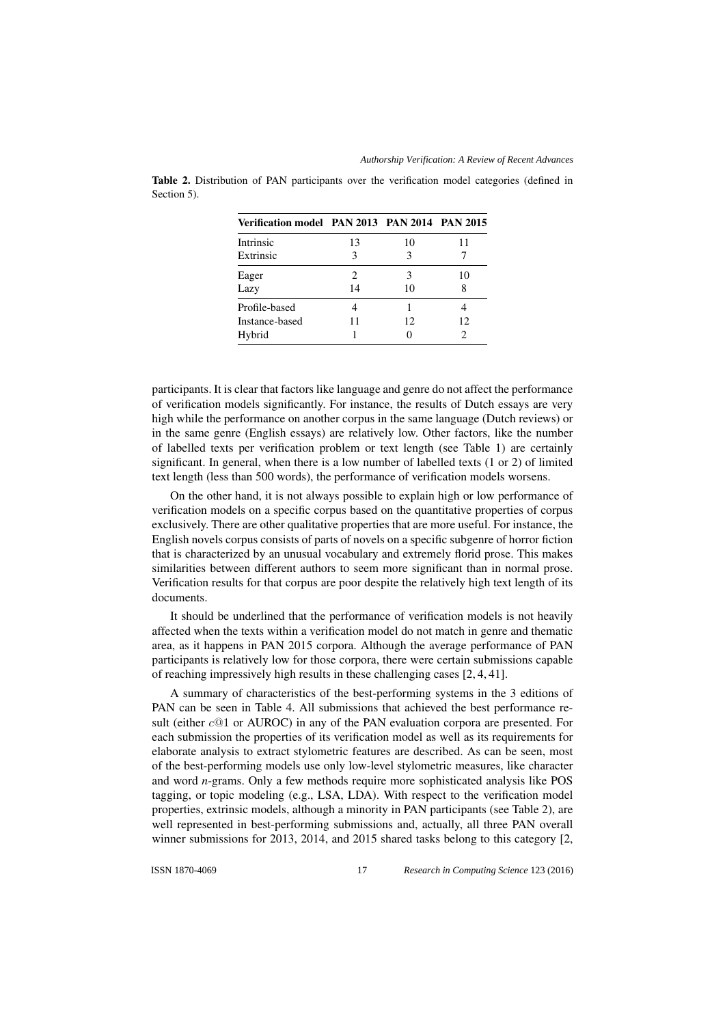*Authorship Verification: A Review of Recent Advances*

| Verification model PAN 2013 PAN 2014 PAN 2015 |                        |     |    |
|-----------------------------------------------|------------------------|-----|----|
| Intrinsic                                     | 13                     | 10  | 11 |
| Extrinsic                                     | 3                      | 3   |    |
| Eager                                         | $\mathfrak{D}_{\cdot}$ | 3   | 10 |
| Lazy                                          | 14                     | 10  | 8  |
| Profile-based                                 |                        |     |    |
| Instance-based                                | 11                     | 12. | 12 |
| Hybrid                                        |                        |     | 2  |

Table 2. Distribution of PAN participants over the verification model categories (defined in Section 5).

participants. It is clear that factors like language and genre do not affect the performance of verification models significantly. For instance, the results of Dutch essays are very high while the performance on another corpus in the same language (Dutch reviews) or in the same genre (English essays) are relatively low. Other factors, like the number of labelled texts per verification problem or text length (see Table 1) are certainly significant. In general, when there is a low number of labelled texts (1 or 2) of limited text length (less than 500 words), the performance of verification models worsens.

On the other hand, it is not always possible to explain high or low performance of verification models on a specific corpus based on the quantitative properties of corpus exclusively. There are other qualitative properties that are more useful. For instance, the English novels corpus consists of parts of novels on a specific subgenre of horror fiction that is characterized by an unusual vocabulary and extremely florid prose. This makes similarities between different authors to seem more significant than in normal prose. Verification results for that corpus are poor despite the relatively high text length of its documents.

It should be underlined that the performance of verification models is not heavily affected when the texts within a verification model do not match in genre and thematic area, as it happens in PAN 2015 corpora. Although the average performance of PAN participants is relatively low for those corpora, there were certain submissions capable of reaching impressively high results in these challenging cases [2, 4, 41].

A summary of characteristics of the best-performing systems in the 3 editions of PAN can be seen in Table 4. All submissions that achieved the best performance result (either  $c@1$  or AUROC) in any of the PAN evaluation corpora are presented. For each submission the properties of its verification model as well as its requirements for elaborate analysis to extract stylometric features are described. As can be seen, most of the best-performing models use only low-level stylometric measures, like character and word *n*-grams. Only a few methods require more sophisticated analysis like POS tagging, or topic modeling (e.g., LSA, LDA). With respect to the verification model properties, extrinsic models, although a minority in PAN participants (see Table 2), are well represented in best-performing submissions and, actually, all three PAN overall winner submissions for 2013, 2014, and 2015 shared tasks belong to this category [2,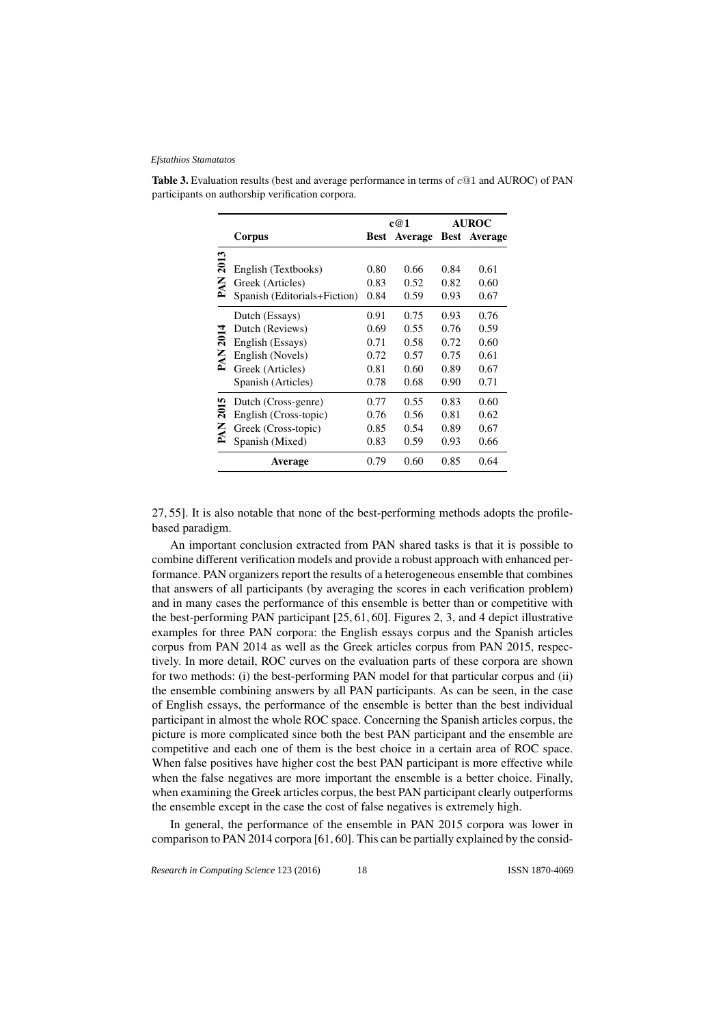|      |                              | c@1  |         | <b>AUROC</b> |                     |
|------|------------------------------|------|---------|--------------|---------------------|
|      | Corpus                       | Best | Average |              | <b>Best</b> Average |
|      |                              |      |         |              |                     |
| 2013 | English (Textbooks)          | 0.80 | 0.66    | 0.84         | 0.61                |
| PAN  | Greek (Articles)             | 0.83 | 0.52    | 0.82         | 0.60                |
|      | Spanish (Editorials+Fiction) | 0.84 | 0.59    | 0.93         | 0.67                |
|      | Dutch (Essays)               | 0.91 | 0.75    | 0.93         | 0.76                |
|      | Dutch (Reviews)              | 0.69 | 0.55    | 0.76         | 0.59                |
| 2014 | English (Essays)             | 0.71 | 0.58    | 0.72         | 0.60                |
| PAN  | English (Novels)             | 0.72 | 0.57    | 0.75         | 0.61                |
|      | Greek (Articles)             | 0.81 | 0.60    | 0.89         | 0.67                |
|      | Spanish (Articles)           | 0.78 | 0.68    | 0.90         | 0.71                |
|      | Dutch (Cross-genre)          | 0.77 | 0.55    | 0.83         | 0.60                |
| 2015 | English (Cross-topic)        | 0.76 | 0.56    | 0.81         | 0.62                |
| PAN  | Greek (Cross-topic)          | 0.85 | 0.54    | 0.89         | 0.67                |
|      | Spanish (Mixed)              | 0.83 | 0.59    | 0.93         | 0.66                |
|      | Average                      | 0.79 | 0.60    | 0.85         | 0.64                |

**Table 3.** Evaluation results (best and average performance in terms of  $c@1$  and AUROC) of PAN participants on authorship verification corpora.

27, 55]. It is also notable that none of the best-performing methods adopts the profilebased paradigm.

An important conclusion extracted from PAN shared tasks is that it is possible to combine different verification models and provide a robust approach with enhanced performance. PAN organizers report the results of a heterogeneous ensemble that combines that answers of all participants (by averaging the scores in each verification problem) and in many cases the performance of this ensemble is better than or competitive with the best-performing PAN participant [25, 61, 60]. Figures 2, 3, and 4 depict illustrative examples for three PAN corpora: the English essays corpus and the Spanish articles corpus from PAN 2014 as well as the Greek articles corpus from PAN 2015, respectively. In more detail, ROC curves on the evaluation parts of these corpora are shown for two methods: (i) the best-performing PAN model for that particular corpus and (ii) the ensemble combining answers by all PAN participants. As can be seen, in the case of English essays, the performance of the ensemble is better than the best individual participant in almost the whole ROC space. Concerning the Spanish articles corpus, the picture is more complicated since both the best PAN participant and the ensemble are competitive and each one of them is the best choice in a certain area of ROC space. When false positives have higher cost the best PAN participant is more effective while when the false negatives are more important the ensemble is a better choice. Finally, when examining the Greek articles corpus, the best PAN participant clearly outperforms the ensemble except in the case the cost of false negatives is extremely high.

In general, the performance of the ensemble in PAN 2015 corpora was lower in comparison to PAN 2014 corpora [61, 60]. This can be partially explained by the consid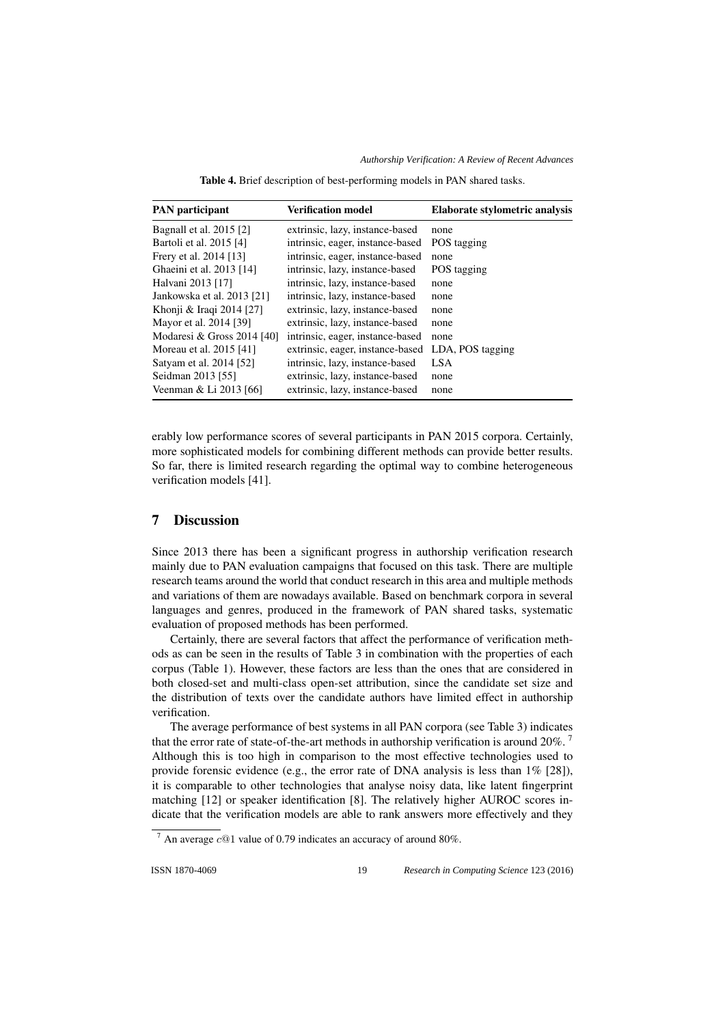*Authorship Verification: A Review of Recent Advances*

Table 4. Brief description of best-performing models in PAN shared tasks.

| <b>PAN</b> participant     | <b>Verification model</b>        | Elaborate stylometric analysis |
|----------------------------|----------------------------------|--------------------------------|
| Bagnall et al. 2015 [2]    | extrinsic, lazy, instance-based  | none                           |
| Bartoli et al. 2015 [4]    | intrinsic, eager, instance-based | POS tagging                    |
| Frery et al. 2014 [13]     | intrinsic, eager, instance-based | none                           |
| Ghaeini et al. 2013 [14]   | intrinsic, lazy, instance-based  | POS tagging                    |
| Halvani 2013 [17]          | intrinsic, lazy, instance-based  | none                           |
| Jankowska et al. 2013 [21] | intrinsic, lazy, instance-based  | none                           |
| Khonji & Iraqi 2014 [27]   | extrinsic, lazy, instance-based  | none                           |
| Mayor et al. 2014 [39]     | extrinsic, lazy, instance-based  | none                           |
| Modaresi & Gross 2014 [40] | intrinsic, eager, instance-based | none                           |
| Moreau et al. 2015 [41]    | extrinsic, eager, instance-based | LDA, POS tagging               |
| Satyam et al. 2014 [52]    | intrinsic, lazy, instance-based  | <b>LSA</b>                     |
| Seidman 2013 [55]          | extrinsic, lazy, instance-based  | none                           |
| Veenman & Li 2013 [66]     | extrinsic, lazy, instance-based  | none                           |

erably low performance scores of several participants in PAN 2015 corpora. Certainly, more sophisticated models for combining different methods can provide better results. So far, there is limited research regarding the optimal way to combine heterogeneous verification models [41].

## 7 Discussion

Since 2013 there has been a significant progress in authorship verification research mainly due to PAN evaluation campaigns that focused on this task. There are multiple research teams around the world that conduct research in this area and multiple methods and variations of them are nowadays available. Based on benchmark corpora in several languages and genres, produced in the framework of PAN shared tasks, systematic evaluation of proposed methods has been performed.

Certainly, there are several factors that affect the performance of verification methods as can be seen in the results of Table 3 in combination with the properties of each corpus (Table 1). However, these factors are less than the ones that are considered in both closed-set and multi-class open-set attribution, since the candidate set size and the distribution of texts over the candidate authors have limited effect in authorship verification.

The average performance of best systems in all PAN corpora (see Table 3) indicates that the error rate of state-of-the-art methods in authorship verification is around  $20\%$ . Although this is too high in comparison to the most effective technologies used to provide forensic evidence (e.g., the error rate of DNA analysis is less than  $1\%$  [28]), it is comparable to other technologies that analyse noisy data, like latent fingerprint matching [12] or speaker identification [8]. The relatively higher AUROC scores indicate that the verification models are able to rank answers more effectively and they

 $\frac{7}{4}$  An average c@1 value of 0.79 indicates an accuracy of around 80%.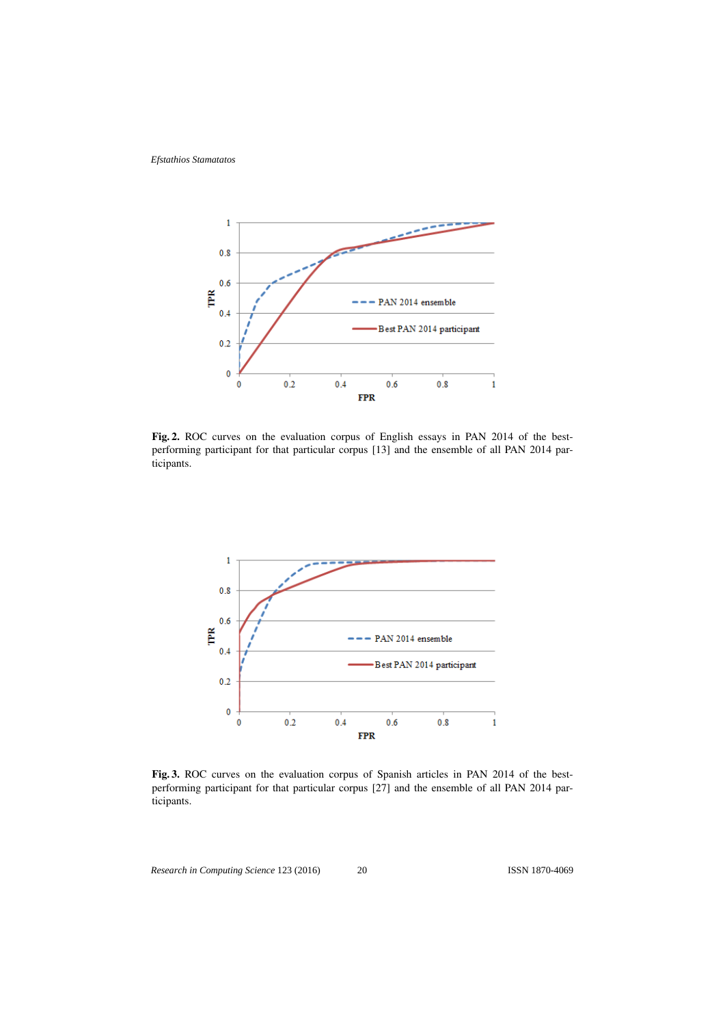

Fig. 2. ROC curves on the evaluation corpus of English essays in PAN 2014 of the bestperforming participant for that particular corpus [13] and the ensemble of all PAN 2014 participants.



Fig. 3. ROC curves on the evaluation corpus of Spanish articles in PAN 2014 of the bestperforming participant for that particular corpus [27] and the ensemble of all PAN 2014 participants.

*Research in Computing Science* 123 (2016) 20 **ISSN 1870-4069**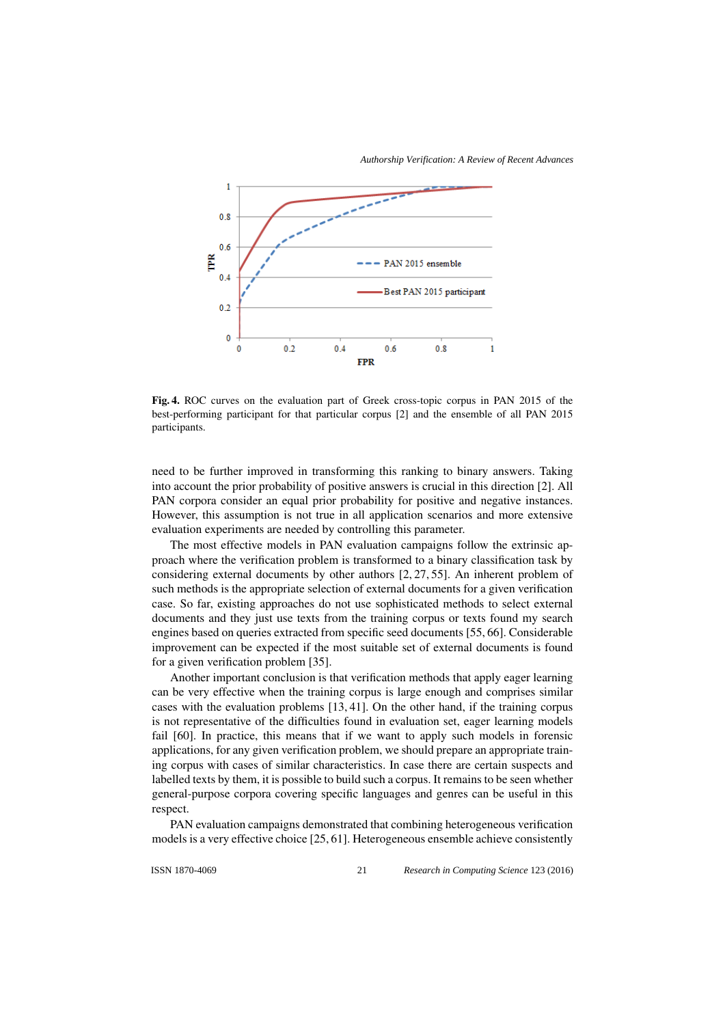*Authorship Verification: A Review of Recent Advances*



Fig. 4. ROC curves on the evaluation part of Greek cross-topic corpus in PAN 2015 of the best-performing participant for that particular corpus [2] and the ensemble of all PAN 2015 participants.

need to be further improved in transforming this ranking to binary answers. Taking into account the prior probability of positive answers is crucial in this direction [2]. All PAN corpora consider an equal prior probability for positive and negative instances. However, this assumption is not true in all application scenarios and more extensive evaluation experiments are needed by controlling this parameter.

The most effective models in PAN evaluation campaigns follow the extrinsic approach where the verification problem is transformed to a binary classification task by considering external documents by other authors [2, 27, 55]. An inherent problem of such methods is the appropriate selection of external documents for a given verification case. So far, existing approaches do not use sophisticated methods to select external documents and they just use texts from the training corpus or texts found my search engines based on queries extracted from specific seed documents [55, 66]. Considerable improvement can be expected if the most suitable set of external documents is found for a given verification problem [35].

Another important conclusion is that verification methods that apply eager learning can be very effective when the training corpus is large enough and comprises similar cases with the evaluation problems [13, 41]. On the other hand, if the training corpus is not representative of the difficulties found in evaluation set, eager learning models fail [60]. In practice, this means that if we want to apply such models in forensic applications, for any given verification problem, we should prepare an appropriate training corpus with cases of similar characteristics. In case there are certain suspects and labelled texts by them, it is possible to build such a corpus. It remains to be seen whether general-purpose corpora covering specific languages and genres can be useful in this respect.

PAN evaluation campaigns demonstrated that combining heterogeneous verification models is a very effective choice [25, 61]. Heterogeneous ensemble achieve consistently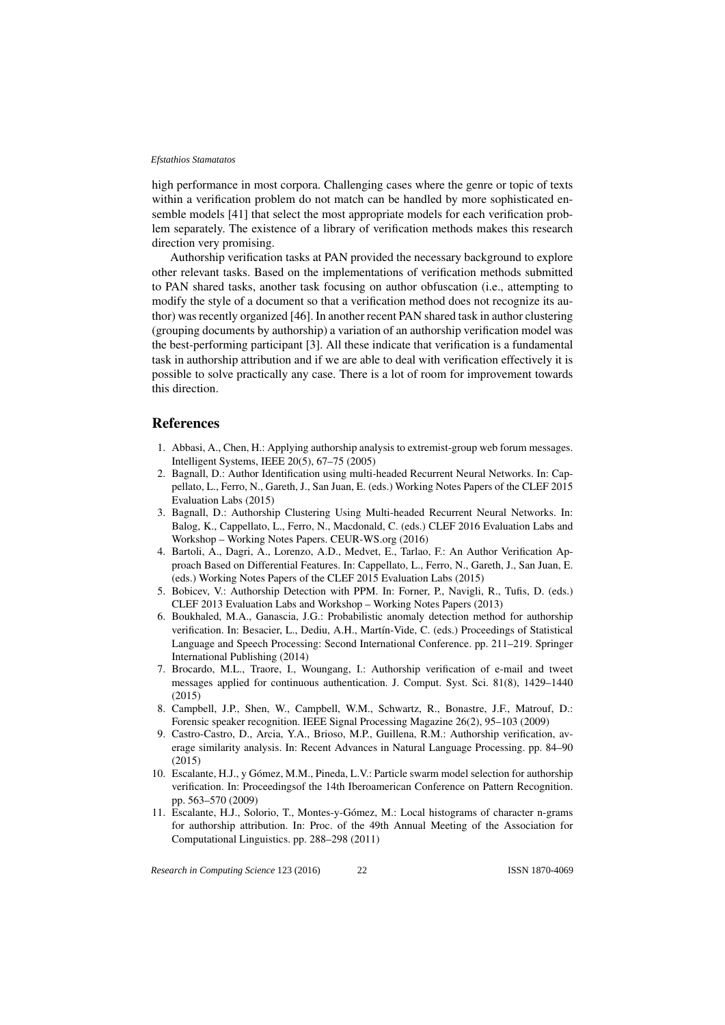high performance in most corpora. Challenging cases where the genre or topic of texts within a verification problem do not match can be handled by more sophisticated ensemble models [41] that select the most appropriate models for each verification problem separately. The existence of a library of verification methods makes this research direction very promising.

Authorship verification tasks at PAN provided the necessary background to explore other relevant tasks. Based on the implementations of verification methods submitted to PAN shared tasks, another task focusing on author obfuscation (i.e., attempting to modify the style of a document so that a verification method does not recognize its author) was recently organized [46]. In another recent PAN shared task in author clustering (grouping documents by authorship) a variation of an authorship verification model was the best-performing participant [3]. All these indicate that verification is a fundamental task in authorship attribution and if we are able to deal with verification effectively it is possible to solve practically any case. There is a lot of room for improvement towards this direction.

### **References**

- 1. Abbasi, A., Chen, H.: Applying authorship analysis to extremist-group web forum messages. Intelligent Systems, IEEE 20(5), 67–75 (2005)
- 2. Bagnall, D.: Author Identification using multi-headed Recurrent Neural Networks. In: Cappellato, L., Ferro, N., Gareth, J., San Juan, E. (eds.) Working Notes Papers of the CLEF 2015 Evaluation Labs (2015)
- 3. Bagnall, D.: Authorship Clustering Using Multi-headed Recurrent Neural Networks. In: Balog, K., Cappellato, L., Ferro, N., Macdonald, C. (eds.) CLEF 2016 Evaluation Labs and Workshop – Working Notes Papers. CEUR-WS.org (2016)
- 4. Bartoli, A., Dagri, A., Lorenzo, A.D., Medvet, E., Tarlao, F.: An Author Verification Approach Based on Differential Features. In: Cappellato, L., Ferro, N., Gareth, J., San Juan, E. (eds.) Working Notes Papers of the CLEF 2015 Evaluation Labs (2015)
- 5. Bobicev, V.: Authorship Detection with PPM. In: Forner, P., Navigli, R., Tufis, D. (eds.) CLEF 2013 Evaluation Labs and Workshop – Working Notes Papers (2013)
- 6. Boukhaled, M.A., Ganascia, J.G.: Probabilistic anomaly detection method for authorship verification. In: Besacier, L., Dediu, A.H., Martín-Vide, C. (eds.) Proceedings of Statistical Language and Speech Processing: Second International Conference. pp. 211–219. Springer International Publishing (2014)
- 7. Brocardo, M.L., Traore, I., Woungang, I.: Authorship verification of e-mail and tweet messages applied for continuous authentication. J. Comput. Syst. Sci. 81(8), 1429–1440 (2015)
- 8. Campbell, J.P., Shen, W., Campbell, W.M., Schwartz, R., Bonastre, J.F., Matrouf, D.: Forensic speaker recognition. IEEE Signal Processing Magazine 26(2), 95–103 (2009)
- 9. Castro-Castro, D., Arcia, Y.A., Brioso, M.P., Guillena, R.M.: Authorship verification, average similarity analysis. In: Recent Advances in Natural Language Processing. pp. 84–90 (2015)
- 10. Escalante, H.J., y Gómez, M.M., Pineda, L.V.: Particle swarm model selection for authorship verification. In: Proceedingsof the 14th Iberoamerican Conference on Pattern Recognition. pp. 563–570 (2009)
- 11. Escalante, H.J., Solorio, T., Montes-y-Gomez, M.: Local histograms of character n-grams ´ for authorship attribution. In: Proc. of the 49th Annual Meeting of the Association for Computational Linguistics. pp. 288–298 (2011)

*Research in Computing Science* 123 (2016) ISSN 1870-4069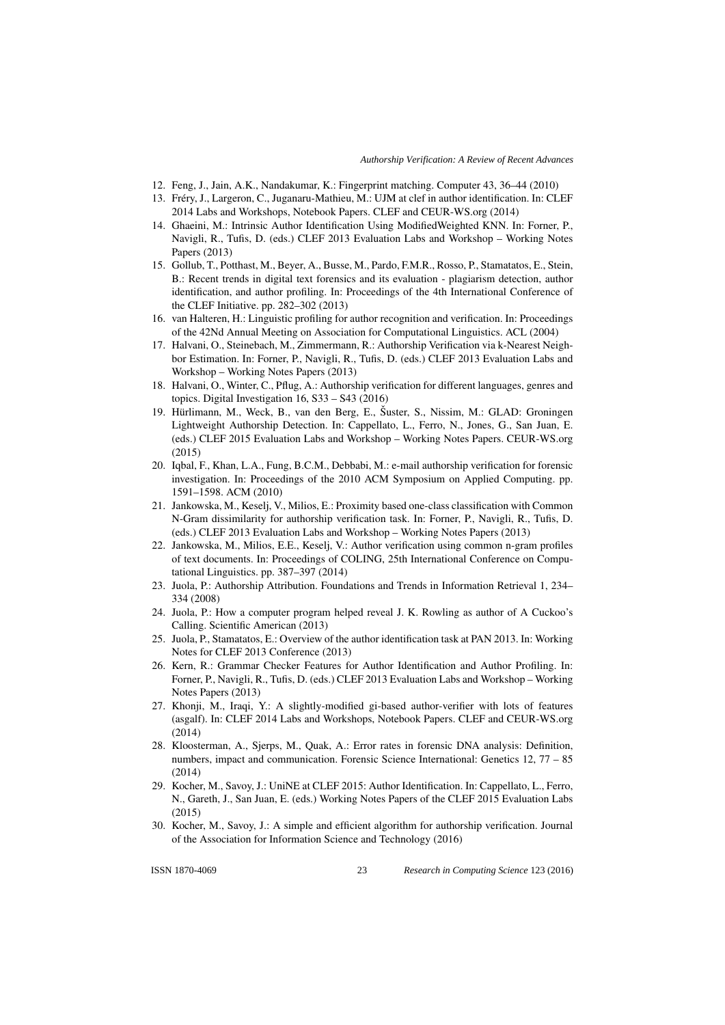- 12. Feng, J., Jain, A.K., Nandakumar, K.: Fingerprint matching. Computer 43, 36–44 (2010)
- 13. Frery, J., Largeron, C., Juganaru-Mathieu, M.: UJM at clef in author identification. In: CLEF ´ 2014 Labs and Workshops, Notebook Papers. CLEF and CEUR-WS.org (2014)
- 14. Ghaeini, M.: Intrinsic Author Identification Using ModifiedWeighted KNN. In: Forner, P., Navigli, R., Tufis, D. (eds.) CLEF 2013 Evaluation Labs and Workshop – Working Notes Papers (2013)
- 15. Gollub, T., Potthast, M., Beyer, A., Busse, M., Pardo, F.M.R., Rosso, P., Stamatatos, E., Stein, B.: Recent trends in digital text forensics and its evaluation - plagiarism detection, author identification, and author profiling. In: Proceedings of the 4th International Conference of the CLEF Initiative. pp. 282–302 (2013)
- 16. van Halteren, H.: Linguistic profiling for author recognition and verification. In: Proceedings of the 42Nd Annual Meeting on Association for Computational Linguistics. ACL (2004)
- 17. Halvani, O., Steinebach, M., Zimmermann, R.: Authorship Verification via k-Nearest Neighbor Estimation. In: Forner, P., Navigli, R., Tufis, D. (eds.) CLEF 2013 Evaluation Labs and Workshop – Working Notes Papers (2013)
- 18. Halvani, O., Winter, C., Pflug, A.: Authorship verification for different languages, genres and topics. Digital Investigation 16, S33 – S43 (2016)
- 19. Hürlimann, M., Weck, B., van den Berg, E., Šuster, S., Nissim, M.: GLAD: Groningen Lightweight Authorship Detection. In: Cappellato, L., Ferro, N., Jones, G., San Juan, E. (eds.) CLEF 2015 Evaluation Labs and Workshop – Working Notes Papers. CEUR-WS.org (2015)
- 20. Iqbal, F., Khan, L.A., Fung, B.C.M., Debbabi, M.: e-mail authorship verification for forensic investigation. In: Proceedings of the 2010 ACM Symposium on Applied Computing. pp. 1591–1598. ACM (2010)
- 21. Jankowska, M., Keselj, V., Milios, E.: Proximity based one-class classification with Common N-Gram dissimilarity for authorship verification task. In: Forner, P., Navigli, R., Tufis, D. (eds.) CLEF 2013 Evaluation Labs and Workshop – Working Notes Papers (2013)
- 22. Jankowska, M., Milios, E.E., Keselj, V.: Author verification using common n-gram profiles of text documents. In: Proceedings of COLING, 25th International Conference on Computational Linguistics. pp. 387–397 (2014)
- 23. Juola, P.: Authorship Attribution. Foundations and Trends in Information Retrieval 1, 234– 334 (2008)
- 24. Juola, P.: How a computer program helped reveal J. K. Rowling as author of A Cuckoo's Calling. Scientific American (2013)
- 25. Juola, P., Stamatatos, E.: Overview of the author identification task at PAN 2013. In: Working Notes for CLEF 2013 Conference (2013)
- 26. Kern, R.: Grammar Checker Features for Author Identification and Author Profiling. In: Forner, P., Navigli, R., Tufis, D. (eds.) CLEF 2013 Evaluation Labs and Workshop – Working Notes Papers (2013)
- 27. Khonji, M., Iraqi, Y.: A slightly-modified gi-based author-verifier with lots of features (asgalf). In: CLEF 2014 Labs and Workshops, Notebook Papers. CLEF and CEUR-WS.org (2014)
- 28. Kloosterman, A., Sjerps, M., Quak, A.: Error rates in forensic DNA analysis: Definition, numbers, impact and communication. Forensic Science International: Genetics 12, 77 – 85 (2014)
- 29. Kocher, M., Savoy, J.: UniNE at CLEF 2015: Author Identification. In: Cappellato, L., Ferro, N., Gareth, J., San Juan, E. (eds.) Working Notes Papers of the CLEF 2015 Evaluation Labs (2015)
- 30. Kocher, M., Savoy, J.: A simple and efficient algorithm for authorship verification. Journal of the Association for Information Science and Technology (2016)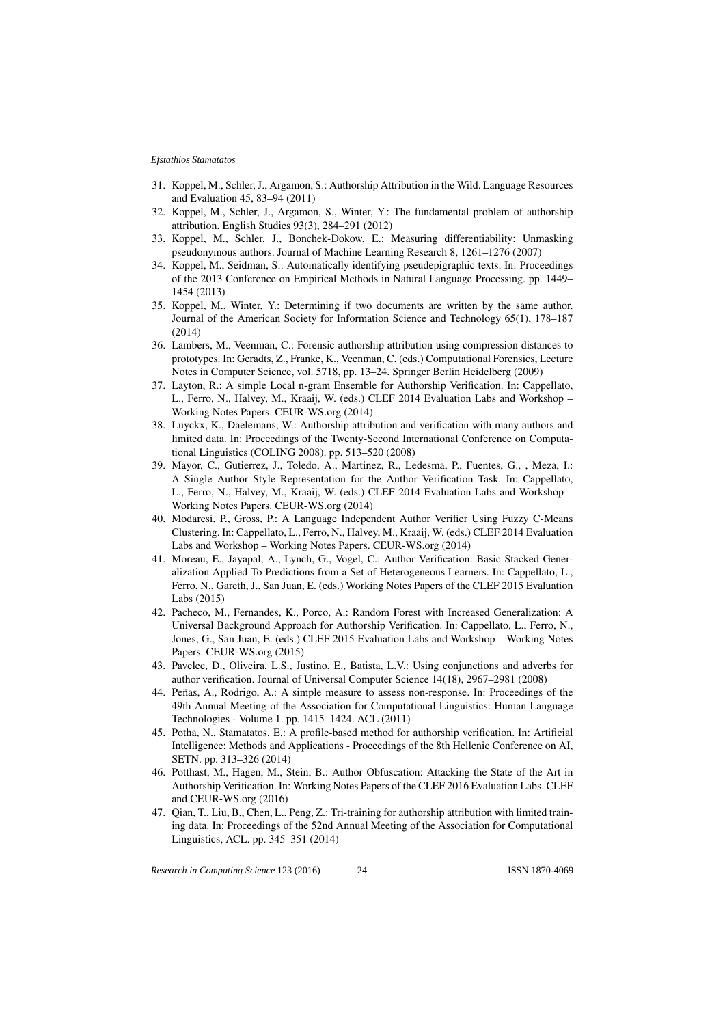- 31. Koppel, M., Schler, J., Argamon, S.: Authorship Attribution in the Wild. Language Resources and Evaluation 45, 83–94 (2011)
- 32. Koppel, M., Schler, J., Argamon, S., Winter, Y.: The fundamental problem of authorship attribution. English Studies 93(3), 284–291 (2012)
- 33. Koppel, M., Schler, J., Bonchek-Dokow, E.: Measuring differentiability: Unmasking pseudonymous authors. Journal of Machine Learning Research 8, 1261–1276 (2007)
- 34. Koppel, M., Seidman, S.: Automatically identifying pseudepigraphic texts. In: Proceedings of the 2013 Conference on Empirical Methods in Natural Language Processing. pp. 1449– 1454 (2013)
- 35. Koppel, M., Winter, Y.: Determining if two documents are written by the same author. Journal of the American Society for Information Science and Technology 65(1), 178–187 (2014)
- 36. Lambers, M., Veenman, C.: Forensic authorship attribution using compression distances to prototypes. In: Geradts, Z., Franke, K., Veenman, C. (eds.) Computational Forensics, Lecture Notes in Computer Science, vol. 5718, pp. 13–24. Springer Berlin Heidelberg (2009)
- 37. Layton, R.: A simple Local n-gram Ensemble for Authorship Verification. In: Cappellato, L., Ferro, N., Halvey, M., Kraaij, W. (eds.) CLEF 2014 Evaluation Labs and Workshop – Working Notes Papers. CEUR-WS.org (2014)
- 38. Luyckx, K., Daelemans, W.: Authorship attribution and verification with many authors and limited data. In: Proceedings of the Twenty-Second International Conference on Computational Linguistics (COLING 2008). pp. 513–520 (2008)
- 39. Mayor, C., Gutierrez, J., Toledo, A., Martinez, R., Ledesma, P., Fuentes, G., , Meza, I.: A Single Author Style Representation for the Author Verification Task. In: Cappellato, L., Ferro, N., Halvey, M., Kraaij, W. (eds.) CLEF 2014 Evaluation Labs and Workshop – Working Notes Papers. CEUR-WS.org (2014)
- 40. Modaresi, P., Gross, P.: A Language Independent Author Verifier Using Fuzzy C-Means Clustering. In: Cappellato, L., Ferro, N., Halvey, M., Kraaij, W. (eds.) CLEF 2014 Evaluation Labs and Workshop – Working Notes Papers. CEUR-WS.org (2014)
- 41. Moreau, E., Jayapal, A., Lynch, G., Vogel, C.: Author Verification: Basic Stacked Generalization Applied To Predictions from a Set of Heterogeneous Learners. In: Cappellato, L., Ferro, N., Gareth, J., San Juan, E. (eds.) Working Notes Papers of the CLEF 2015 Evaluation Labs (2015)
- 42. Pacheco, M., Fernandes, K., Porco, A.: Random Forest with Increased Generalization: A Universal Background Approach for Authorship Verification. In: Cappellato, L., Ferro, N., Jones, G., San Juan, E. (eds.) CLEF 2015 Evaluation Labs and Workshop – Working Notes Papers. CEUR-WS.org (2015)
- 43. Pavelec, D., Oliveira, L.S., Justino, E., Batista, L.V.: Using conjunctions and adverbs for author verification. Journal of Universal Computer Science 14(18), 2967–2981 (2008)
- 44. Peñas, A., Rodrigo, A.: A simple measure to assess non-response. In: Proceedings of the 49th Annual Meeting of the Association for Computational Linguistics: Human Language Technologies - Volume 1. pp. 1415–1424. ACL (2011)
- 45. Potha, N., Stamatatos, E.: A profile-based method for authorship verification. In: Artificial Intelligence: Methods and Applications - Proceedings of the 8th Hellenic Conference on AI, SETN. pp. 313–326 (2014)
- 46. Potthast, M., Hagen, M., Stein, B.: Author Obfuscation: Attacking the State of the Art in Authorship Verification. In: Working Notes Papers of the CLEF 2016 Evaluation Labs. CLEF and CEUR-WS.org (2016)
- 47. Qian, T., Liu, B., Chen, L., Peng, Z.: Tri-training for authorship attribution with limited training data. In: Proceedings of the 52nd Annual Meeting of the Association for Computational Linguistics, ACL. pp. 345–351 (2014)

*Research in Computing Science* 123 (2016) ISSN 1870-4069